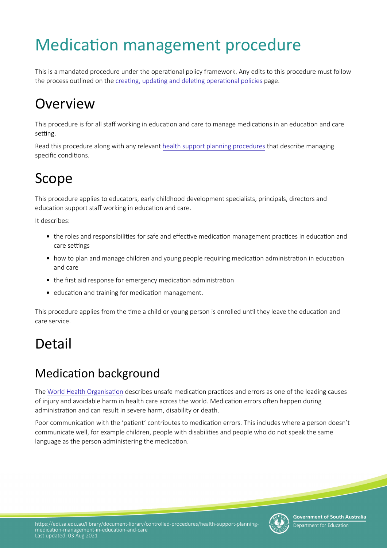# Medication management procedure

This is a mandated procedure under the operational policy framework. Any edits to this procedure must follow the process outlined on the creating, updating and deleting operational policies page.

# **Overview**

This procedure is for all staff working in education and care to manage medications in an education and care setting.

Read this procedure along with any relevant [health support planning procedures](https://www.education.sa.gov.au/supporting-students/health-e-safety-and-wellbeing/health-support-planning/managing-health-education-and-care/physical-health/anaphylaxis-and-severe-allergies) that describe managing specific conditions.

# Scope

This procedure applies to educators, early childhood development specialists, principals, directors and education support staff working in education and care.

It describes:

- the roles and responsibilities for safe and effective medication management practices in education and care settings
- how to plan and manage children and young people requiring medication administration in education and care
- the first aid response for emergency medication administration
- education and training for medication management.

This procedure applies from the time a child or young person is enrolled until they leave the education and care service.

# Detail

## Medication background

The World Health Organisation describes unsafe medication practices and errors as one of the leading causes of injury and avoidable harm in health care across the world. Medicaton errors ofen happen during administraton and can result in severe harm, disability or death.

Poor communication with the 'patient' contributes to medication errors. This includes where a person doesn't communicate well, for example children, people with disabilites and people who do not speak the same language as the person administering the medication.



**Government of South Australia** Department for Education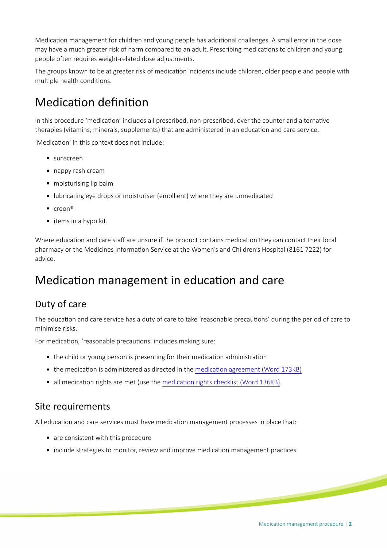Medication management for children and young people has additional challenges. A small error in the dose may have a much greater risk of harm compared to an adult. Prescribing medications to children and young people often requires weight-related dose adjustments.

The groups known to be at greater risk of medication incidents include children, older people and people with multiple health conditions.

## Medication definition

In this procedure 'medication' includes all prescribed, non-prescribed, over the counter and alternative therapies (vitamins, minerals, supplements) that are administered in an education and care service.

'Medicaton' in this context does not include:

- sunscreen
- nappy rash cream
- moisturising lip balm
- lubricating eye drops or moisturiser (emollient) where they are unmedicated
- $\bullet$  creon®
- $\bullet$  items in a hypo kit.

Where education and care staff are unsure if the product contains medication they can contact their local pharmacy or the Medicines Information Service at the Women's and Children's Hospital (8161 7222) for advice.

## Medication management in education and care

## Duty of care

The education and care service has a duty of care to take 'reasonable precautions' during the period of care to minimise risks.

For medication, 'reasonable precautions' includes making sure:

- the child or young person is presenting for their medication administration
- the medication is administered as directed in the medication agreement (Word 173KB)
- all medication rights are met (use the medication rights checklist (Word 136KB).

#### Site requirements

All education and care services must have medication management processes in place that:

- are consistent with this procedure
- include strategies to monitor, review and improve medication management practices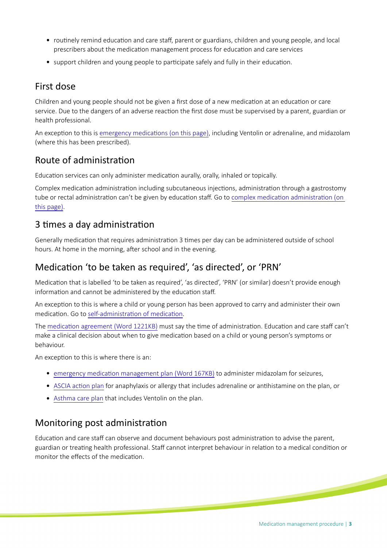- routinely remind education and care staff, parent or guardians, children and young people, and local prescribers about the medication management process for education and care services
- support children and young people to participate safely and fully in their education.

### First dose

Children and young people should not be given a first dose of a new medication at an education or care service. Due to the dangers of an adverse reacton the frst dose must be supervised by a parent, guardian or health professional.

An exception to this is emergency medications (on this page), including Ventolin or adrenaline, and midazolam (where this has been prescribed).

### Route of administraton

Education services can only administer medication aurally, orally, inhaled or topically.

Complex medication administration including subcutaneous injections, administration through a gastrostomy tube or rectal administration can't be given by education staff. Go to complex medication administration (on this page).

### 3 times a day administration

Generally medication that requires administration 3 times per day can be administered outside of school hours. At home in the morning, after school and in the evening.

## Medication 'to be taken as required', 'as directed', or 'PRN'

Medication that is labelled 'to be taken as required', 'as directed', 'PRN' (or similar) doesn't provide enough information and cannot be administered by the education staff.

An excepton to this is where a child or young person has been approved to carry and administer their own medication. Go to self-administration of medication.

The medication agreement (Word 1221KB) must say the time of administration. Education and care staff can't make a clinical decision about when to give medicaton based on a child or young person's symptoms or behaviour.

An exception to this is where there is an:

- [emergency medicaton management plan \(Word 167KB\)](https://www.education.sa.gov.au/sites/default/files/hsp153-inm-medication-agreement.doc?v=1579476479) to administer midazolam for seizures,
- ASCIA action plan for anaphylaxis or allergy that includes adrenaline or antihistamine on the plan, or
- [Asthma care plan](https://asthma.org.au/wp-content/uploads/About_Asthma/Schools/AACPED2018-Care-Plan-for-Schools-A4_2019.pdf) that includes Ventolin on the plan.

### Monitoring post administraton

Education and care staff can observe and document behaviours post administration to advise the parent, guardian or treating health professional. Staff cannot interpret behaviour in relation to a medical condition or monitor the effects of the medication.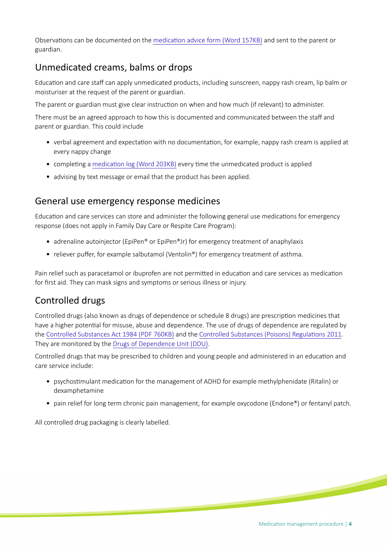Observations can be documented on the medication advice form (Word 157KB) and sent to the parent or guardian.

## Unmedicated creams, balms or drops

Education and care staff can apply unmedicated products, including sunscreen, nappy rash cream, lip balm or moisturiser at the request of the parent or guardian.

The parent or guardian must give clear instruction on when and how much (if relevant) to administer.

There must be an agreed approach to how this is documented and communicated between the staff and parent or guardian. This could include

- verbal agreement and expectaton with no documentaton, for example, nappy rash cream is applied at every nappy change
- completing a medication log (Word 203KB) every time the unmedicated product is applied
- advising by text message or email that the product has been applied.

#### General use emergency response medicines

Education and care services can store and administer the following general use medications for emergency response (does not apply in Family Day Care or Respite Care Program):

- adrenaline autoinjector (EpiPen® or EpiPen®Jr) for emergency treatment of anaphylaxis
- reliever puffer, for example salbutamol (Ventolin®) for emergency treatment of asthma.

Pain relief such as paracetamol or ibuprofen are not permitted in education and care services as medication for first aid. They can mask signs and symptoms or serious illness or injury.

### Controlled drugs

Controlled drugs (also known as drugs of dependence or schedule 8 drugs) are prescripton medicines that have a higher potential for misuse, abuse and dependence. The use of drugs of dependence are regulated by the [Controlled Substances Act 1984 \(PDF 760KB\)](https://www.legislation.sa.gov.au/LZ/C/A/CONTROLLED%20SUBSTANCES%20ACT%201984/CURRENT/1984.52.AUTH.PDF) and the Controlled Substances (Poisons) Regulations 2011. They are monitored by the [Drugs of Dependence Unit \(DDU\)](https://www.sahealth.sa.gov.au/wps/wcm/connect/public+content/sa+health+internet/clinical+resources/clinical+programs+and+practice+guidelines/medicines+and+drugs/drugs+of+dependence).

Controlled drugs that may be prescribed to children and young people and administered in an educaton and care service include:

- psychostmulant medicaton for the management of ADHD for example methylphenidate (Ritalin) or dexamphetamine
- pain relief for long term chronic pain management, for example oxycodone (Endone<sup>®</sup>) or fentanyl patch.

All controlled drug packaging is clearly labelled.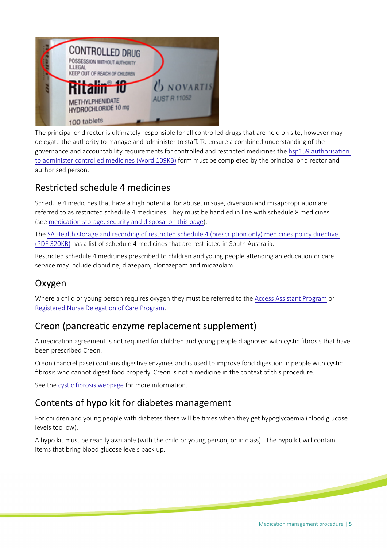

The principal or director is ultmately responsible for all controlled drugs that are held on site, however may delegate the authority to manage and administer to staff. To ensure a combined understanding of the governance and accountability requirements for controlled and restricted medicines the [hsp159 authorisaton](https://www.education.sa.gov.au/sites/g/files/net691/f/hsp159-authorisation-administer-controlled-medicine.doc)  [to administer controlled medicines \(Word 109KB\)](https://www.education.sa.gov.au/sites/g/files/net691/f/hsp159-authorisation-administer-controlled-medicine.doc) form must be completed by the principal or director and authorised person.

## Restricted schedule 4 medicines

Schedule 4 medicines that have a high potential for abuse, misuse, diversion and misappropriation are referred to as restricted schedule 4 medicines. They must be handled in line with schedule 8 medicines (see medication storage, security and disposal on this page).

The [SA Health storage and recording of restricted schedule 4 \(prescripton only\) medicines policy directve](http://www.sahealth.sa.gov.au/wps/wcm/connect/7797cb00412ae68ebaebbee8f09fe17d/Directive_Storage%2B%2526%2BRecording%2Bof%2BRestricted%2BS4%2BMedicines_25072017.pdf?MOD=AJPERES&CACHE=NONE&CONTENTCACHE=NONE)  [\(PDF 320KB\)](http://www.sahealth.sa.gov.au/wps/wcm/connect/7797cb00412ae68ebaebbee8f09fe17d/Directive_Storage%2B%2526%2BRecording%2Bof%2BRestricted%2BS4%2BMedicines_25072017.pdf?MOD=AJPERES&CACHE=NONE&CONTENTCACHE=NONE) has a list of schedule 4 medicines that are restricted in South Australia.

Restricted schedule 4 medicines prescribed to children and young people attending an education or care service may include clonidine, diazepam, clonazepam and midazolam.

## Oxygen

Where a child or young person requires oxygen they must be referred to the [Access Assistant Program](https://www.education.sa.gov.au/supporting-students/health-e-safety-and-wellbeing/health-support-planning/managing-health-education-and-care/health-support-services-and-programs/access-assistant-program-aap) or Registered Nurse Delegation of Care Program.

### Creon (pancreatic enzyme replacement supplement)

A medication agreement is not required for children and young people diagnosed with cystic fibrosis that have been prescribed Creon.

Creon (pancrelipase) contains digestive enzymes and is used to improve food digestion in people with cystic fbrosis who cannot digest food properly. Creon is not a medicine in the context of this procedure.

See the cystic fibrosis webpage for more information.

### Contents of hypo kit for diabetes management

For children and young people with diabetes there will be tmes when they get hypoglycaemia (blood glucose levels too low).

A hypo kit must be readily available (with the child or young person, or in class). The hypo kit will contain items that bring blood glucose levels back up.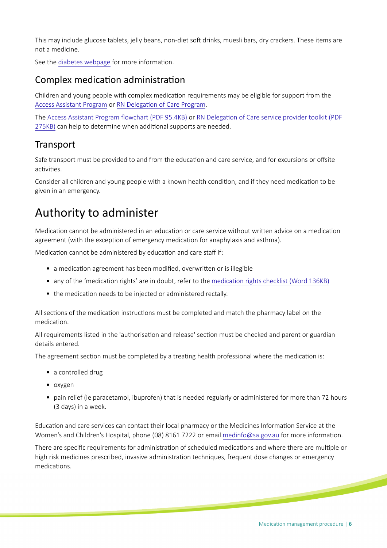This may include glucose tablets, jelly beans, non-diet soft drinks, muesli bars, dry crackers. These items are not a medicine.

See the [diabetes webpage](https://www.education.sa.gov.au/supporting-students/health-e-safety-and-wellbeing/health-support-planning/managing-health-education-and-care/physical-health/diabetes) for more information.

### Complex medication administration

Children and young people with complex medicaton requirements may be eligible for support from the [Access Assistant Program](https://myintranet.learnlink.sa.edu.au/child-and-student-support/health-support-planning/health-support-services/access-assistants-program) or RN Delegation of Care Program.

The Access Assistant Program flowchart (PDF 95.4KB) or RN Delegation of Care service provider toolkit (PDF [275KB\)](https://www.education.sa.gov.au/sites/g/files/net691/f/rn-delegation-of-care-toolkit.pdf?v=1476855325) can help to determine when additonal supports are needed.

### **Transport**

Safe transport must be provided to and from the education and care service, and for excursions or offsite activities.

Consider all children and young people with a known health condition, and if they need medication to be given in an emergency.

## Authority to administer

Medication cannot be administered in an education or care service without written advice on a medication agreement (with the exception of emergency medication for anaphylaxis and asthma).

Medication cannot be administered by education and care staff if:

- a medication agreement has been modified, overwritten or is illegible
- any of the 'medication rights' are in doubt, refer to the medication rights checklist (Word 136KB)
- the medication needs to be injected or administered rectally.

All sections of the medication instructions must be completed and match the pharmacy label on the medication.

All requirements listed in the 'authorisation and release' section must be checked and parent or guardian details entered.

The agreement section must be completed by a treating health professional where the medication is:

- a controlled drug
- oxygen
- pain relief (ie paracetamol, ibuprofen) that is needed regularly or administered for more than 72 hours (3 days) in a week.

Educaton and care services can contact their local pharmacy or the Medicines Informaton Service at the Women's and Children's Hospital, phone (08) 8161 7222 or email [medinfo@sa.gov.au](mailto:medinfo@sa.gov.au) for more information.

There are specific requirements for administration of scheduled medications and where there are multiple or high risk medicines prescribed, invasive administration techniques, frequent dose changes or emergency medications.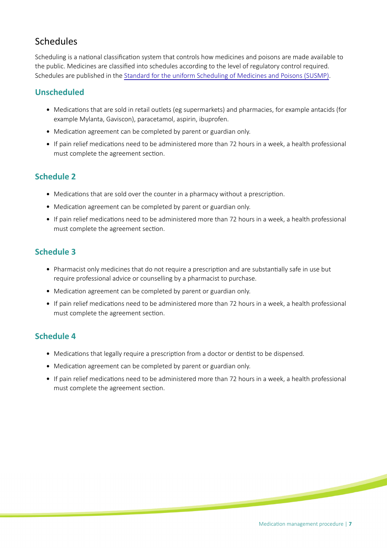## Schedules

Scheduling is a national classification system that controls how medicines and poisons are made available to the public. Medicines are classifed into schedules according to the level of regulatory control required. Schedules are published in the [Standard for the uniform Scheduling of Medicines and Poisons \(SUSMP\)](https://www.legislation.gov.au/Details/F2017L01285).

#### **Unscheduled**

- Medications that are sold in retail outlets (eg supermarkets) and pharmacies, for example antacids (for example Mylanta, Gaviscon), paracetamol, aspirin, ibuprofen.
- Medication agreement can be completed by parent or guardian only.
- If pain relief medicatons need to be administered more than 72 hours in a week, a health professional must complete the agreement section.

#### **Schedule 2**

- Medications that are sold over the counter in a pharmacy without a prescription.
- Medication agreement can be completed by parent or guardian only.
- If pain relief medicatons need to be administered more than 72 hours in a week, a health professional must complete the agreement section.

#### **Schedule 3**

- Pharmacist only medicines that do not require a prescription and are substantially safe in use but require professional advice or counselling by a pharmacist to purchase.
- Medication agreement can be completed by parent or guardian only.
- If pain relief medicatons need to be administered more than 72 hours in a week, a health professional must complete the agreement section.

#### **Schedule 4**

- Medications that legally require a prescription from a doctor or dentist to be dispensed.
- Medication agreement can be completed by parent or guardian only.
- If pain relief medicatons need to be administered more than 72 hours in a week, a health professional must complete the agreement section.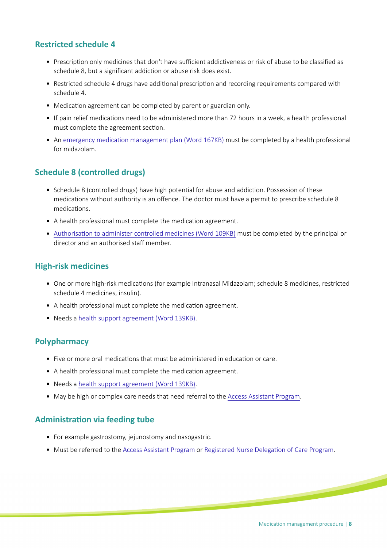#### **Restricted schedule 4**

- Prescription only medicines that don't have sufficient addictiveness or risk of abuse to be classified as schedule 8, but a significant addiction or abuse risk does exist.
- Restricted schedule 4 drugs have additonal prescripton and recording requirements compared with schedule 4.
- Medication agreement can be completed by parent or guardian only.
- If pain relief medicatons need to be administered more than 72 hours in a week, a health professional must complete the agreement section.
- An emergency medication management plan (Word 167KB) must be completed by a health professional for midazolam.

#### **Schedule 8 (controlled drugs)**

- Schedule 8 (controlled drugs) have high potential for abuse and addiction. Possession of these medications without authority is an offence. The doctor must have a permit to prescribe schedule 8 medications.
- A health professional must complete the medication agreement.
- Authorisation to administer controlled medicines (Word 109KB) must be completed by the principal or director and an authorised staff member.

#### **High-risk medicines**

- One or more high-risk medicatons (for example Intranasal Midazolam; schedule 8 medicines, restricted schedule 4 medicines, insulin).
- A health professional must complete the medication agreement.
- Needs a [health support agreement \(Word 139KB\).](https://www.education.sa.gov.au/sites/default/files/hsp120-health-support-agreement.docx?v=1562633827)

#### **Polypharmacy**

- Five or more oral medications that must be administered in education or care.
- A health professional must complete the medication agreement.
- Needs a [health support agreement \(Word 139KB\).](https://www.education.sa.gov.au/sites/default/files/hsp120-health-support-agreement.docx?v=1562633827)
- May be high or complex care needs that need referral to the [Access Assistant Program](./?a=345776).

#### **Administraton via feeding tube**

- For example gastrostomy, jejunostomy and nasogastric.
- Must be referred to the [Access Assistant Program](./?a=345776) or Registered Nurse Delegation of Care Program.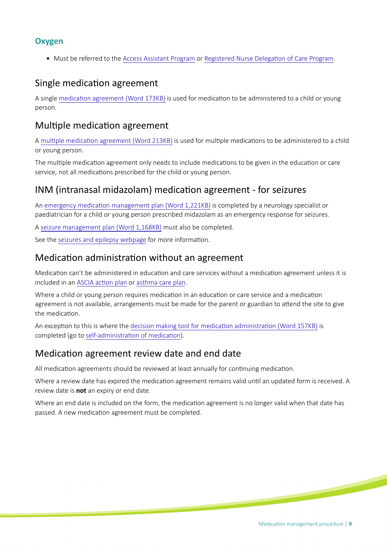#### **Oxygen**

• Must be referred to the [Access Assistant Program](./?a=345776) or Registered Nurse Delegation of Care Program.

### Single medication agreement

A single [medicaton agreement \(Word 173KB\)](https://www.education.sa.gov.au/sites/g/files/net691/f/hsp151-medication-agreement.doc) is used for medicaton to be administered to a child or young person.

### Multiple medication agreement

A multiple medication agreement (Word 213KB) is used for multiple medications to be administered to a child or young person.

The multiple medication agreement only needs to include medications to be given in the education or care service, not all medications prescribed for the child or young person.

### INM (intranasal midazolam) medicaton agreement - for seizures

An emergency medication management plan (Word 1,221KB) is completed by a neurology specialist or paediatrician for a child or young person prescribed midazolam as an emergency response for seizures.

A [seizure management plan \(Word 1,168KB\)](https://www.education.sa.gov.au/sites/default/files/hsp340-seizure-managemen-plan.doc) must also be completed.

See the [seizures and epilepsy webpage](https://www.education.sa.gov.au/supporting-students/health-e-safety-and-wellbeing/health-support-planning/managing-health-education-and-care/physical-health/seizures-and-epilepsy) for more information.

### Medicaton administraton without an agreement

Medication can't be administered in education and care services without a medication agreement unless it is included in an ASCIA action plan or [asthma care plan](https://www.asthmaaustralia.org.au/wa/about-asthma/resources).

Where a child or young person requires medication in an education or care service and a medication agreement is not available, arrangements must be made for the parent or guardian to attend the site to give the medication.

An exception to this is where the decision making tool for medication administration (Word 157KB) is completed (go to self-administration of medication).

### Medicaton agreement review date and end date

All medication agreements should be reviewed at least annually for continuing medication.

Where a review date has expired the medication agreement remains valid until an updated form is received. A review date is **not** an expiry or end date.

Where an end date is included on the form, the medication agreement is no longer valid when that date has passed. A new medication agreement must be completed.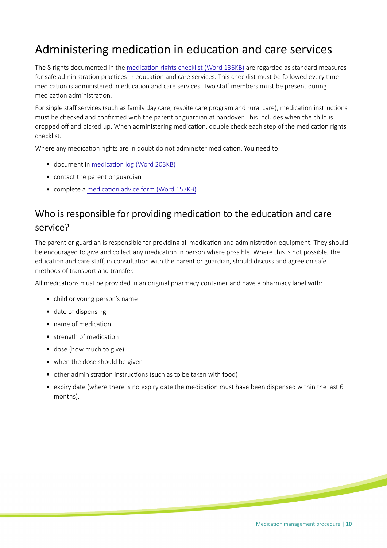## Administering medication in education and care services

The 8 rights documented in the [medicaton rights checklist \(Word 136KB\)](https://www.education.sa.gov.au/sites/g/files/net691/f/medication-rights-checklist.doc) are regarded as standard measures for safe administration practices in education and care services. This checklist must be followed every time medication is administered in education and care services. Two staff members must be present during medicaton administraton.

For single staff services (such as family day care, respite care program and rural care), medication instructions must be checked and confrmed with the parent or guardian at handover. This includes when the child is dropped off and picked up. When administering medication, double check each step of the medication rights checklist.

Where any medication rights are in doubt do not administer medication. You need to:

- document in medication log (Word 203KB)
- contact the parent or guardian
- complete a medication advice form (Word 157KB).

## Who is responsible for providing medication to the education and care service?

The parent or guardian is responsible for providing all medicaton and administraton equipment. They should be encouraged to give and collect any medication in person where possible. Where this is not possible, the education and care staff, in consultation with the parent or guardian, should discuss and agree on safe methods of transport and transfer.

All medications must be provided in an original pharmacy container and have a pharmacy label with:

- child or young person's name
- date of dispensing
- name of medication
- strength of medication
- dose (how much to give)
- when the dose should be given
- other administraton instructons (such as to be taken with food)
- expiry date (where there is no expiry date the medication must have been dispensed within the last 6 months).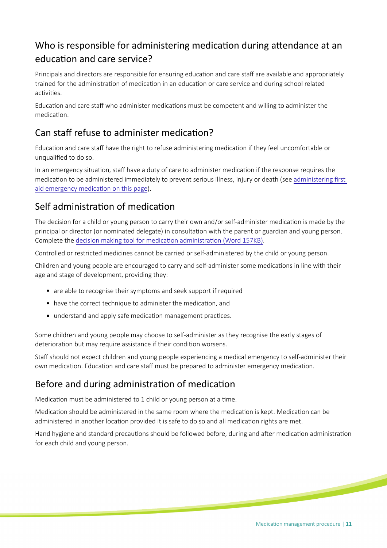## Who is responsible for administering medication during attendance at an educaton and care service?

Principals and directors are responsible for ensuring education and care staff are available and appropriately trained for the administration of medication in an education or care service and during school related activities

Education and care staff who administer medications must be competent and willing to administer the medication.

## Can staff refuse to administer medication?

Education and care staff have the right to refuse administering medication if they feel uncomfortable or unqualifed to do so.

In an emergency situation, staff have a duty of care to administer medication if the response requires the medication to be administered immediately to prevent serious illness, injury or death (see administering first aid emergency medication on this page).

### Self administraton of medicaton

The decision for a child or young person to carry their own and/or self-administer medication is made by the principal or director (or nominated delegate) in consultaton with the parent or guardian and young person. Complete the decision making tool for medication administration (Word 157KB).

Controlled or restricted medicines cannot be carried or self-administered by the child or young person.

Children and young people are encouraged to carry and self-administer some medications in line with their age and stage of development, providing they:

- are able to recognise their symptoms and seek support if required
- have the correct technique to administer the medication, and
- understand and apply safe medication management practices.

Some children and young people may choose to self-administer as they recognise the early stages of deterioration but may require assistance if their condition worsens.

Staff should not expect children and young people experiencing a medical emergency to self-administer their own medication. Education and care staff must be prepared to administer emergency medication.

## Before and during administration of medication

Medication must be administered to 1 child or young person at a time.

Medication should be administered in the same room where the medication is kept. Medication can be administered in another location provided it is safe to do so and all medication rights are met.

Hand hygiene and standard precautions should be followed before, during and after medication administration for each child and young person.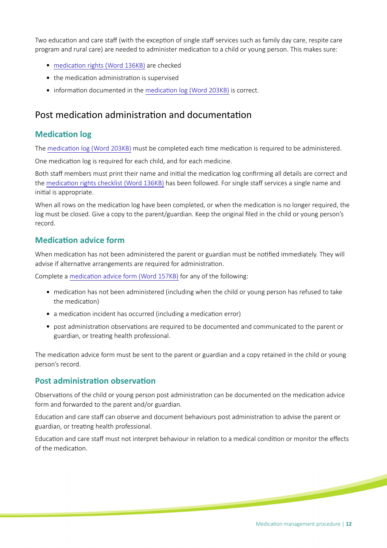Two education and care staff (with the exception of single staff services such as family day care, respite care program and rural care) are needed to administer medicaton to a child or young person. This makes sure:

- medication rights (Word 136KB) are checked
- the medication administration is supervised
- information documented in the medication log (Word 203KB) is correct.

### Post medicaton administraton and documentaton

#### **Medication log**

The medication log (Word 203KB) must be completed each time medication is required to be administered.

One medication log is required for each child, and for each medicine.

Both staff members must print their name and initial the medication log confirming all details are correct and the medication rights checklist (Word 136KB) has been followed. For single staff services a single name and inital is appropriate.

When all rows on the medication log have been completed, or when the medication is no longer required, the log must be closed. Give a copy to the parent/guardian. Keep the original fled in the child or young person's record.

#### **Medicaton advice form**

When medication has not been administered the parent or guardian must be notified immediately. They will advise if alternative arrangements are required for administration.

Complete a medication advice form (Word 157KB) for any of the following:

- medication has not been administered (including when the child or young person has refused to take the medication)
- a medication incident has occurred (including a medication error)
- post administration observations are required to be documented and communicated to the parent or guardian, or treatng health professional.

The medication advice form must be sent to the parent or guardian and a copy retained in the child or young person's record.

#### **Post administration observation**

Observations of the child or young person post administration can be documented on the medication advice form and forwarded to the parent and/or guardian.

Education and care staff can observe and document behaviours post administration to advise the parent or guardian, or treating health professional.

Education and care staff must not interpret behaviour in relation to a medical condition or monitor the effects of the medicaton.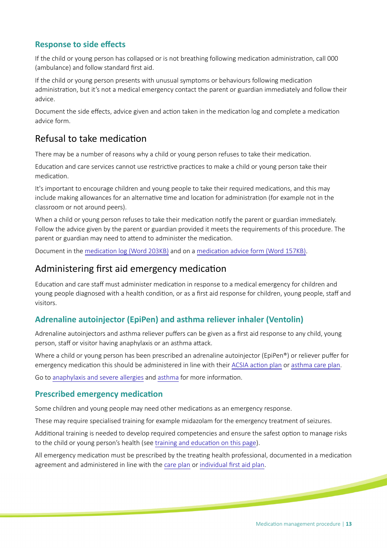#### **Response to side efects**

If the child or young person has collapsed or is not breathing following medication administration, call 000 (ambulance) and follow standard frst aid.

If the child or young person presents with unusual symptoms or behaviours following medicaton administraton, but it's not a medical emergency contact the parent or guardian immediately and follow their advice.

Document the side effects, advice given and action taken in the medication log and complete a medication advice form.

### Refusal to take medicaton

There may be a number of reasons why a child or young person refuses to take their medicaton.

Education and care services cannot use restrictive practices to make a child or young person take their medication

It's important to encourage children and young people to take their required medications, and this may include making allowances for an alternative time and location for administration (for example not in the classroom or not around peers).

When a child or young person refuses to take their medication notify the parent or guardian immediately. Follow the advice given by the parent or guardian provided it meets the requirements of this procedure. The parent or guardian may need to attend to administer the medication.

Document in the medication log (Word 203KB) and on a medication advice form (Word 157KB).

### Administering frst aid emergency medicaton

Education and care staff must administer medication in response to a medical emergency for children and young people diagnosed with a health condition, or as a first aid response for children, young people, staff and visitors.

#### **Adrenaline autoinjector (EpiPen) and asthma reliever inhaler (Ventolin)**

Adrenaline autoinjectors and asthma reliever pufers can be given as a frst aid response to any child, young person, staff or visitor having anaphylaxis or an asthma attack.

Where a child or young person has been prescribed an adrenaline autoinjector (EpiPen®) or reliever puffer for emergency medication this should be administered in line with their ACSIA action plan or [asthma care plan](https://www.asthmaaustralia.org.au/wa/about-asthma/resources).

Go to [anaphylaxis and severe allergies](https://www.education.sa.gov.au/supporting-students/health-e-safety-and-wellbeing/health-support-planning/managing-health-education-and-care/physical-health/anaphylaxis-and-severe-allergies) and [asthma](https://www.education.sa.gov.au/supporting-students/health-e-safety-and-wellbeing/health-support-planning/managing-health-education-and-care/physical-health/asthma) for more information.

#### **Prescribed emergency medicaton**

Some children and young people may need other medications as an emergency response.

These may require specialised training for example midazolam for the emergency treatment of seizures.

Additional training is needed to develop required competencies and ensure the safest option to manage risks to the child or young person's health (see training and education on this page).

All emergency medication must be prescribed by the treating health professional, documented in a medication agreement and administered in line with the [care plan](https://www.education.sa.gov.au/supporting-students/health-e-safety-and-wellbeing/health-care-plans) or individual first aid plan.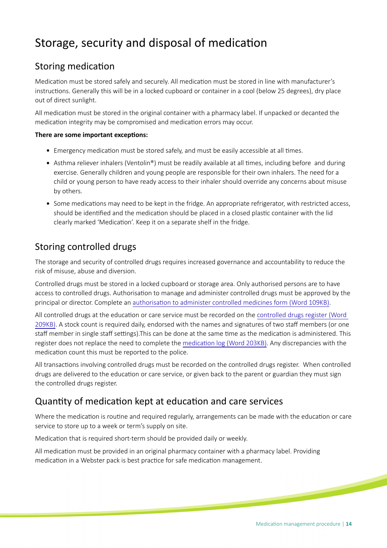## Storage, security and disposal of medication

### Storing medication

Medication must be stored safely and securely. All medication must be stored in line with manufacturer's instructions. Generally this will be in a locked cupboard or container in a cool (below 25 degrees), dry place out of direct sunlight.

All medicaton must be stored in the original container with a pharmacy label. If unpacked or decanted the medication integrity may be compromised and medication errors may occur.

#### **There are some important exceptons:**

- Emergency medication must be stored safely, and must be easily accessible at all times.
- Asthma reliever inhalers (Ventolin®) must be readily available at all times, including before and during exercise. Generally children and young people are responsible for their own inhalers. The need for a child or young person to have ready access to their inhaler should override any concerns about misuse by others.
- Some medications may need to be kept in the fridge. An appropriate refrigerator, with restricted access, should be identified and the medication should be placed in a closed plastic container with the lid clearly marked 'Medication'. Keep it on a separate shelf in the fridge.

### Storing controlled drugs

The storage and security of controlled drugs requires increased governance and accountability to reduce the risk of misuse, abuse and diversion.

Controlled drugs must be stored in a locked cupboard or storage area. Only authorised persons are to have access to controlled drugs. Authorisation to manage and administer controlled drugs must be approved by the principal or director. Complete an [authorisaton to administer controlled medicines form \(Word 109KB\).](https://www.education.sa.gov.au/sites/g/files/net691/f/hsp159-authorisation-administer-controlled-medicine.doc)

All controlled drugs at the education or care service must be recorded on the controlled drugs register (Word [209KB\)](https://www.education.sa.gov.au/sites/g/files/net691/f/hsp158-controlled-restricted-medicines-register.doc). A stock count is required daily, endorsed with the names and signatures of two staf members (or one staff member in single staff settings). This can be done at the same time as the medication is administered. This register does not replace the need to complete the medication log (Word 203KB). Any discrepancies with the medication count this must be reported to the police.

All transactions involving controlled drugs must be recorded on the controlled drugs register. When controlled drugs are delivered to the education or care service, or given back to the parent or guardian they must sign the controlled drugs register.

### Quantity of medication kept at education and care services

Where the medication is routine and required regularly, arrangements can be made with the education or care service to store up to a week or term's supply on site.

Medication that is required short-term should be provided daily or weekly.

All medicaton must be provided in an original pharmacy container with a pharmacy label. Providing medication in a Webster pack is best practice for safe medication management.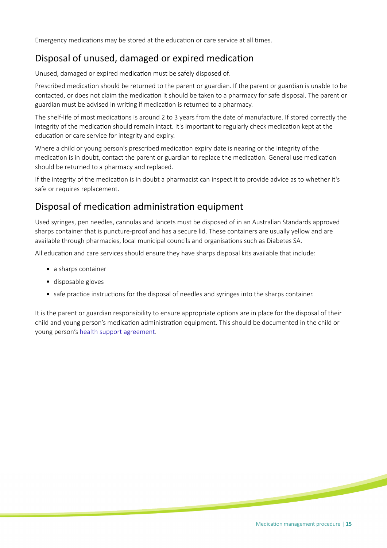Emergency medications may be stored at the education or care service at all times.

### Disposal of unused, damaged or expired medicaton

Unused, damaged or expired medication must be safely disposed of.

Prescribed medication should be returned to the parent or guardian. If the parent or guardian is unable to be contacted, or does not claim the medication it should be taken to a pharmacy for safe disposal. The parent or guardian must be advised in writng if medicaton is returned to a pharmacy.

The shelf-life of most medications is around 2 to 3 years from the date of manufacture. If stored correctly the integrity of the medication should remain intact. It's important to regularly check medication kept at the education or care service for integrity and expiry.

Where a child or young person's prescribed medicaton expiry date is nearing or the integrity of the medication is in doubt, contact the parent or guardian to replace the medication. General use medication should be returned to a pharmacy and replaced.

If the integrity of the medicaton is in doubt a pharmacist can inspect it to provide advice as to whether it's safe or requires replacement.

### Disposal of medicaton administraton equipment

Used syringes, pen needles, cannulas and lancets must be disposed of in an Australian Standards approved sharps container that is puncture-proof and has a secure lid. These containers are usually yellow and are available through pharmacies, local municipal councils and organisatons such as Diabetes SA.

All education and care services should ensure they have sharps disposal kits available that include:

- a sharps container
- disposable gloves
- safe practice instructions for the disposal of needles and syringes into the sharps container.

It is the parent or guardian responsibility to ensure appropriate optons are in place for the disposal of their child and young person's medication administration equipment. This should be documented in the child or young person's [health support agreement](https://www.education.sa.gov.au/doc/hsp120-health-support-agreement).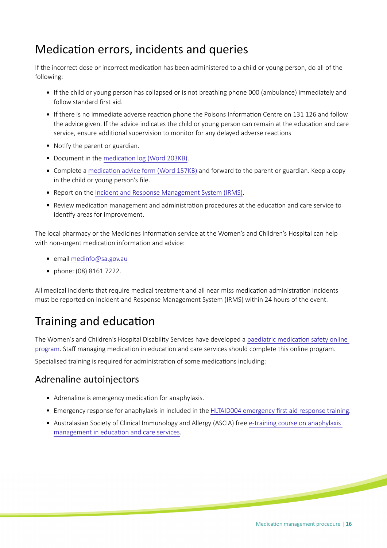## Medication errors, incidents and queries

If the incorrect dose or incorrect medicaton has been administered to a child or young person, do all of the following:

- If the child or young person has collapsed or is not breathing phone 000 (ambulance) immediately and follow standard frst aid.
- If there is no immediate adverse reaction phone the Poisons Information Centre on 131 126 and follow the advice given. If the advice indicates the child or young person can remain at the education and care service, ensure additonal supervision to monitor for any delayed adverse reactons
- Notify the parent or guardian.
- Document in the medication log (Word 203KB).
- Complete a medication advice form (Word 157KB) and forward to the parent or guardian. Keep a copy in the child or young person's fle.
- Report on the [Incident and Response Management System \(IRMS\)](https://edi.sa.edu.au/operations-and-management/emergency-management/irms).
- Review medication management and administration procedures at the education and care service to identify areas for improvement.

The local pharmacy or the Medicines Information service at the Women's and Children's Hospital can help with non-urgent medication information and advice:

- email [medinfo@sa.gov.au](mailto:medinfo@sa.gov.au)
- phone: (08) 8161 7222.

All medical incidents that require medical treatment and all near miss medication administration incidents must be reported on Incident and Response Management System (IRMS) within 24 hours of the event.

## Training and education

The Women's and Children's Hospital Disability Services have developed a paediatric medication safety online [program.](https://launch.sahealth.sa.gov.au/about/medication-safety) Staff managing medication in education and care services should complete this online program.

Specialised training is required for administration of some medications including:

### Adrenaline autoinjectors

- Adrenaline is emergency medication for anaphylaxis.
- Emergency response for anaphylaxis in included in the [HLTAID004 emergency frst aid response training](https://training.gov.au/Training/Details/HLTAID004).
- Australasian Society of Clinical Immunology and Allergy (ASCIA) free [e-training course on anaphylaxis](https://www.allergy.org.au/patients/anaphylaxis-e-training-schools-and-childcare)  management in education and care services.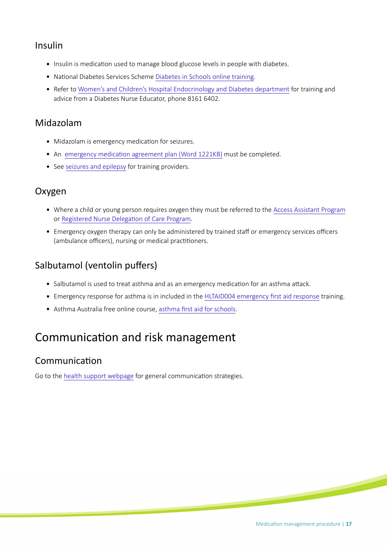### Insulin

- Insulin is medication used to manage blood glucose levels in people with diabetes.
- National Diabetes Services Scheme [Diabetes in Schools online training.](https://www.diabetesinschools.com.au/register-for-training)
- Refer to [Women's and Children's Hospital Endocrinology and Diabetes department](http://www.wch.sa.gov.au/services/az/divisions/paedm/endodiab/index.html) for training and advice from a Diabetes Nurse Educator, phone 8161 6402.

### Midazolam

- Midazolam is emergency medication for seizures.
- An emergency medication agreement plan (Word 1221KB) must be completed.
- See [seizures and epilepsy](https://www.education.sa.gov.au/supporting-students/health-e-safety-and-wellbeing/health-support-planning/managing-health-education-and-care/physical-health/seizures-and-epilepsy) for training providers.

### Oxygen

- Where a child or young person requires oxygen they must be referred to the [Access Assistant Program](https://www.education.sa.gov.au/supporting-students/health-e-safety-and-wellbeing/health-support-planning/managing-health-education-and-care/health-support-services-and-programs/access-assistant-program-aap) or [Registered Nurse Delegaton of Care Program.](http://www.wch.sa.gov.au/services/az/other/allied/disability/disability_services.html#rndcp)
- Emergency oxygen therapy can only be administered by trained staff or emergency services officers (ambulance officers), nursing or medical practitioners.

## Salbutamol (ventolin puffers)

- Salbutamol is used to treat asthma and as an emergency medication for an asthma attack.
- Emergency response for asthma is in included in the [HLTAID004 emergency frst aid response](https://training.gov.au/Training/Details/HLTAID004) training.
- Asthma Australia free online course, [asthma frst aid for schools](https://asthma.org.au/what-we-do/training/asthma-first-aid-for-schools/).

## Communication and risk management

### Communication

Go to the [health support webpage](https://www.education.sa.gov.au/supporting-students/health-e-safety-and-wellbeing/health-support-planning/managing-health-education-and-care/health-support) for general communication strategies.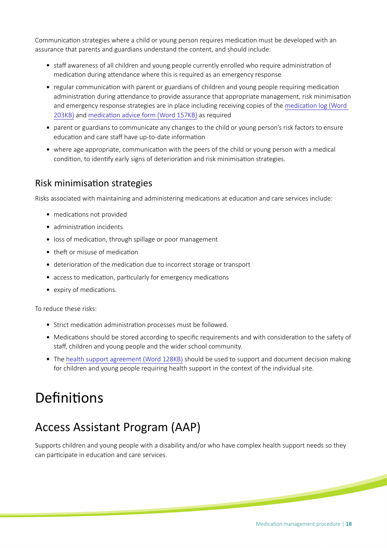Communication strategies where a child or young person requires medication must be developed with an assurance that parents and guardians understand the content, and should include:

- staff awareness of all children and young people currently enrolled who require administration of medication during attendance where this is required as an emergency response
- regular communication with parent or guardians of children and young people requiring medication administration during attendance to provide assurance that appropriate management, risk minimisation and emergency response strategies are in place including receiving copies of the [medicaton log \(Word](https://www.education.sa.gov.au/sites/g/files/net691/f/medication-log.doc)  [203KB\)](https://www.education.sa.gov.au/sites/g/files/net691/f/medication-log.doc) and medication advice form (Word 157KB) as required
- parent or guardians to communicate any changes to the child or young person's risk factors to ensure education and care staff have up-to-date information
- where age appropriate, communication with the peers of the child or young person with a medical condition, to identify early signs of deterioration and risk minimisation strategies.

#### Risk minimisaton strategies

Risks associated with maintaining and administering medications at education and care services include:

- medications not provided
- administration incidents
- loss of medication, through spillage or poor management
- $\bullet$  theft or misuse of medication
- deterioration of the medication due to incorrect storage or transport
- access to medication, particularly for emergency medications
- expiry of medications.

To reduce these risks:

- Strict medication administration processes must be followed.
- Medications should be stored according to specific requirements and with consideration to the safety of staff, children and young people and the wider school community.
- The [health support agreement \(Word 128KB\)](https://www.education.sa.gov.au/sites/default/files/hsp120-health-support-agreement.docx) should be used to support and document decision making for children and young people requiring health support in the context of the individual site.

# Definitions

## Access Assistant Program (AAP)

Supports children and young people with a disability and/or who have complex health support needs so they can participate in education and care services.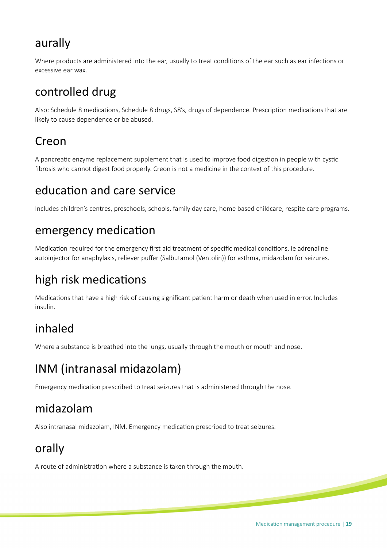## aurally

Where products are administered into the ear, usually to treat conditions of the ear such as ear infections or excessive ear wax.

## controlled drug

Also: Schedule 8 medications, Schedule 8 drugs, S8's, drugs of dependence. Prescription medications that are likely to cause dependence or be abused.

## Creon

A pancreatic enzyme replacement supplement that is used to improve food digestion in people with cystic fbrosis who cannot digest food properly. Creon is not a medicine in the context of this procedure.

## education and care service

Includes children's centres, preschools, schools, family day care, home based childcare, respite care programs.

## emergency medication

Medication required for the emergency first aid treatment of specific medical conditions, ie adrenaline autoinjector for anaphylaxis, reliever pufer (Salbutamol (Ventolin)) for asthma, midazolam for seizures.

## high risk medications

Medications that have a high risk of causing significant patient harm or death when used in error. Includes insulin.

## inhaled

Where a substance is breathed into the lungs, usually through the mouth or mouth and nose.

## INM (intranasal midazolam)

Emergency medication prescribed to treat seizures that is administered through the nose.

## midazolam

Also intranasal midazolam, INM. Emergency medication prescribed to treat seizures.

## orally

A route of administration where a substance is taken through the mouth.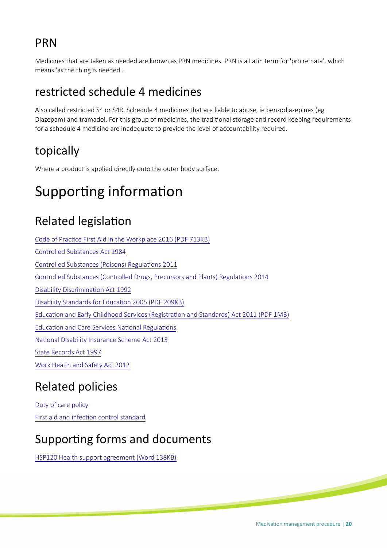## PRN

Medicines that are taken as needed are known as PRN medicines. PRN is a Latin term for 'pro re nata', which means 'as the thing is needed'.

## restricted schedule 4 medicines

Also called restricted S4 or S4R. Schedule 4 medicines that are liable to abuse, ie benzodiazepines (eg Diazepam) and tramadol. For this group of medicines, the traditonal storage and record keeping requirements for a schedule 4 medicine are inadequate to provide the level of accountability required.

## topically

Where a product is applied directly onto the outer body surface.

# Supporting information

## **Related legislation**

Code of Practice First Aid in the Workplace 2016 (PDF 713KB) [Controlled Substances Act 1984](https://www.legislation.sa.gov.au/LZ/C/A/CONTROLLED%20SUBSTANCES%20ACT%201984.aspx) Controlled Substances (Poisons) Regulations 2011 [Controlled Substances \(Controlled Drugs, Precursors and Plants\) Regulatons 2014](https://www.legislation.sa.gov.au/LZ/C/R/CONTROLLED%20SUBSTANCES%20(CONTROLLED%20DRUGS%20PRECURSORS%20AND%20PLANTS)%20REGULATIONS%202014.aspx) Disability Discrimination Act 1992 Disability Standards for Education 2005 (PDF 209KB) [Educaton and Early Childhood Services \(Registraton and Standards\) Act 2011 \(PDF 1MB\)](https://www.legislation.sa.gov.au/LZ/C/A/EDUCATION%20AND%20EARLY%20CHILDHOOD%20SERVICES%20(REGISTRATION%20AND%20STANDARDS)%20ACT%202011/CURRENT/2011.46.AUTH.PDF) Education and Care Services National Regulations National Disability Insurance Scheme Act 2013 [State Records Act 1997](https://www.legislation.sa.gov.au/LZ/C/A/STATE%20RECORDS%20ACT%201997.aspx) [Work Health and Safety Act 2012](https://www.legislation.sa.gov.au/LZ/C/A/WORK%20HEALTH%20AND%20SAFETY%20ACT%202012.aspx)

## Related policies

[Duty of care policy](https://edi.sa.edu.au/library/document-library/controlled-policies/duty-of-care-policy) First aid and infection control standard

## Supporting forms and documents

[HSP120 Health support agreement \(Word 138KB\)](https://www.education.sa.gov.au/sites/default/files/hsp120-health-support-agreement.docx?v=1562633827)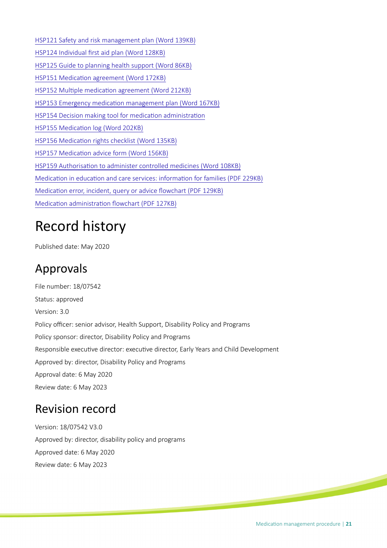[HSP121 Safety and risk management plan \(Word 139KB\)](https://www.education.sa.gov.au/sites/g/files/net691/f/hsp121-safety-risk-mgmt-plan.doc) [HSP124 Individual frst aid plan \(Word 128KB\)](https://www.education.sa.gov.au/sites/default/files/hsp124-individual-first-aid-plan.docx?v=1560996319) [HSP125 Guide to planning health support \(Word 86KB\)](https://www.education.sa.gov.au/sites/default/files/hsp125-guide-to-planning-health-support.docx) HSP151 Medication agreement (Word 172KB) HSP152 Multiple medication agreement (Word 212KB) HSP153 Emergency medication management plan (Word 167KB) HSP154 Decision making tool for medication administration HSP155 Medication log (Word 202KB) HSP156 Medication rights checklist (Word 135KB) HSP157 Medication advice form (Word 156KB) HSP159 Authorisation to administer controlled medicines (Word 108KB) Medication in education and care services: information for families (PDF 229KB) Medication error, incident, query or advice flowchart (PDF 129KB) Medication administration flowchart (PDF 127KB)

# Record history

Published date: May 2020

## Approvals

File number: 18/07542 Status: approved Version: 3.0 Policy officer: senior advisor, Health Support, Disability Policy and Programs Policy sponsor: director, Disability Policy and Programs Responsible executive director: executive director, Early Years and Child Development Approved by: director, Disability Policy and Programs Approval date: 6 May 2020 Review date: 6 May 2023

## Revision record

Version: 18/07542 V3.0 Approved by: director, disability policy and programs Approved date: 6 May 2020 Review date: 6 May 2023